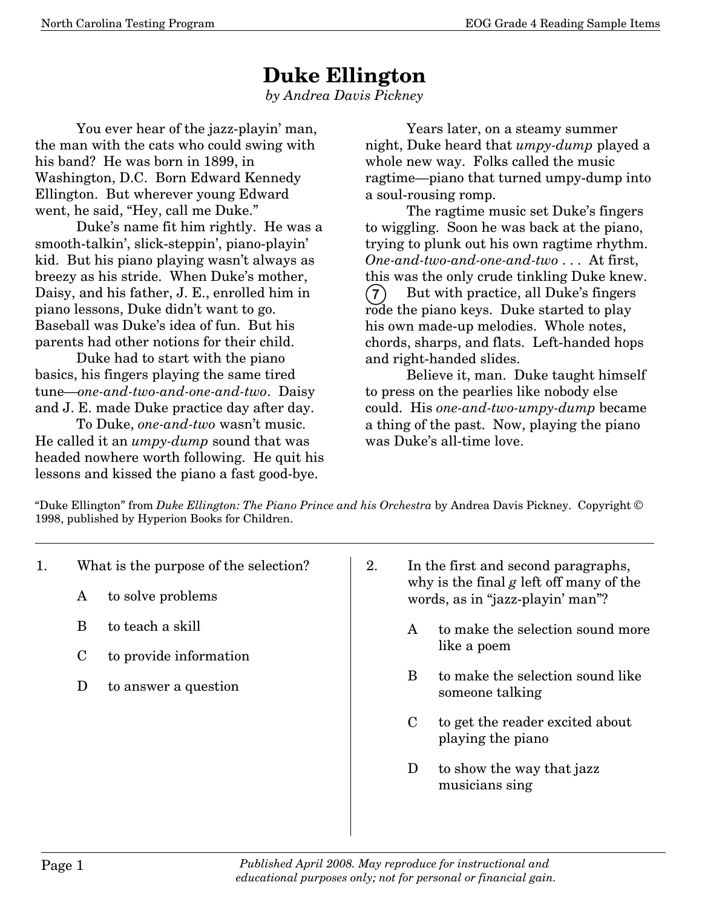## **Duke Ellington**

*by Andrea Davis Pickney*

 You ever hear of the jazz-playin' man, the man with the cats who could swing with his band? He was born in 1899, in Washington, D.C. Born Edward Kennedy Ellington. But wherever young Edward went, he said, "Hey, call me Duke."

 Duke's name fit him rightly. He was a smooth-talkin', slick-steppin', piano-playin' kid. But his piano playing wasn't always as breezy as his stride. When Duke's mother, Daisy, and his father, J. E., enrolled him in piano lessons, Duke didn't want to go. Baseball was Duke's idea of fun. But his parents had other notions for their child.

 Duke had to start with the piano basics, his fingers playing the same tired tune–*one-and-two-and-one-and-two*. Daisy and J. E. made Duke practice day after day.

 To Duke, *one-and-two* wasn't music. He called it an *umpy-dump* sound that was headed nowhere worth following. He quit his lessons and kissed the piano a fast good-bye.

 Years later, on a steamy summer night, Duke heard that *umpy-dump* played a whole new way. Folks called the music ragtime–piano that turned umpy-dump into a soul-rousing romp.

 The ragtime music set Duke's fingers to wiggling. Soon he was back at the piano, trying to plunk out his own ragtime rhythm. *One-and-two-and-one-and-two* . . . At first, this was the only crude tinkling Duke knew. But with practice, all Duke's fingers rode the piano keys. Duke started to play his own made-up melodies. Whole notes, chords, sharps, and flats. Left-handed hops and right-handed slides. **-**

 Believe it, man. Duke taught himself to press on the pearlies like nobody else could. His *one-and-two-umpy-dump* became a thing of the past. Now, playing the piano was Duke's all-time love.

"Duke Ellington" from *Duke Ellington: The Piano Prince and his Orchestra* by Andrea Davis Pickney. Copyright © 1998, published by Hyperion Books for Children.

- 1. What is the purpose of the selection?
	- A to solve problems
	- B to teach a skill
	- C to provide information
	- D to answer a question
- 2. In the first and second paragraphs, why is the final *g* left off many of the words, as in "jazz-playin' man"?
	- A to make the selection sound more like a poem
	- B to make the selection sound like someone talking
	- C to get the reader excited about playing the piano
	- D to show the way that jazz musicians sing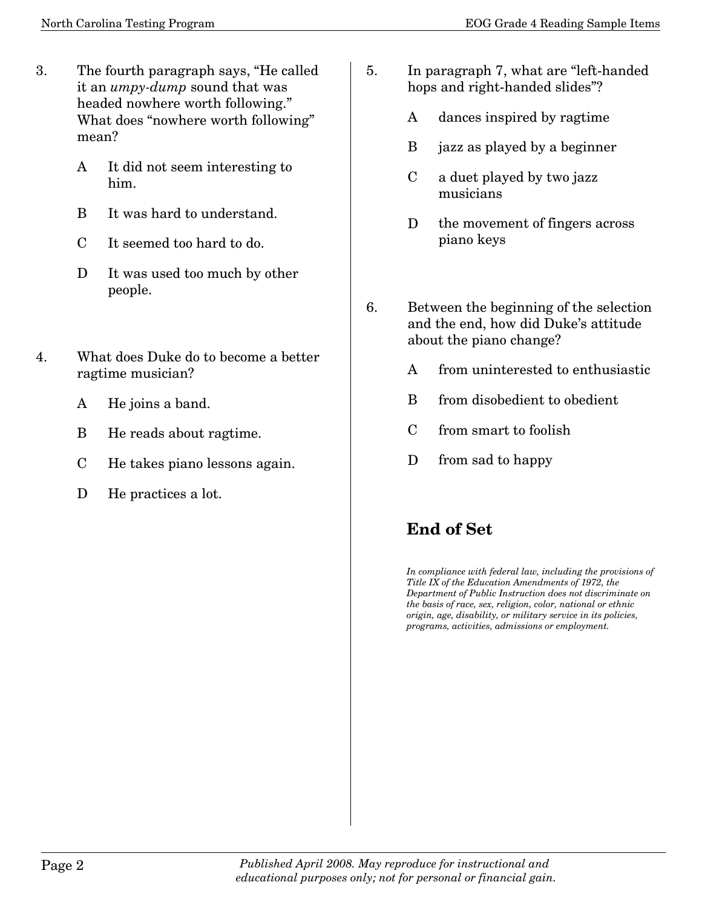- 3. The fourth paragraph says, "He called it an *umpy-dump* sound that was headed nowhere worth following." What does "nowhere worth following" mean?
	- A It did not seem interesting to him.
	- B It was hard to understand.
	- C It seemed too hard to do.
	- D It was used too much by other people.
- 4. What does Duke do to become a better ragtime musician?
	- A He joins a band.
	- B He reads about ragtime.
	- C He takes piano lessons again.
	- D He practices a lot.
- 5. In paragraph 7, what are "left-handed hops and right-handed slides"?
	- A dances inspired by ragtime
	- B jazz as played by a beginner
	- C a duet played by two jazz musicians
	- D the movement of fingers across piano keys
- 6. Between the beginning of the selection and the end, how did Duke's attitude about the piano change?
	- A from uninterested to enthusiastic
	- B from disobedient to obedient
	- C from smart to foolish
	- D from sad to happy

## **End of Set**

*In compliance with federal law, including the provisions of Title IX of the Education Amendments of 1972, the Department of Public Instruction does not discriminate on the basis of race, sex, religion, color, national or ethnic origin, age, disability, or military service in its policies, programs, activities, admissions or employment.*